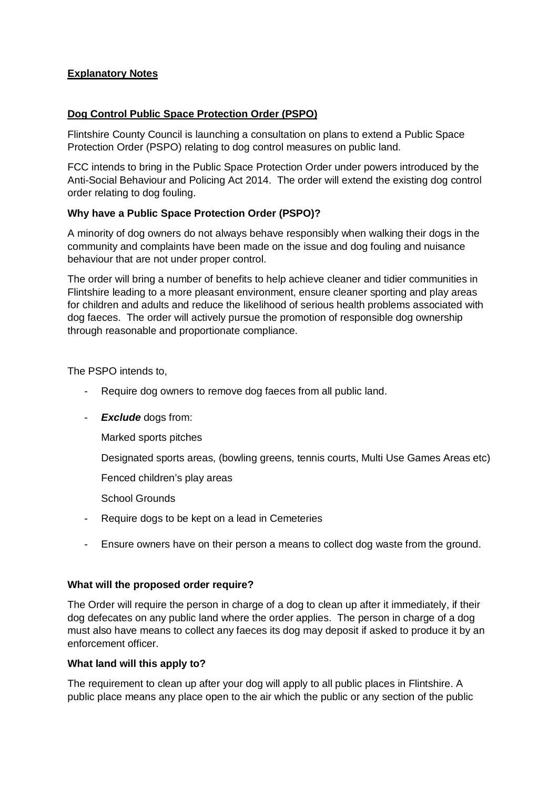# **Explanatory Notes**

## **Dog Control Public Space Protection Order (PSPO)**

Flintshire County Council is launching a consultation on plans to extend a Public Space Protection Order (PSPO) relating to dog control measures on public land.

FCC intends to bring in the Public Space Protection Order under powers introduced by the Anti-Social Behaviour and Policing Act 2014. The order will extend the existing dog control order relating to dog fouling.

## **Why have a Public Space Protection Order (PSPO)?**

A minority of dog owners do not always behave responsibly when walking their dogs in the community and complaints have been made on the issue and dog fouling and nuisance behaviour that are not under proper control.

The order will bring a number of benefits to help achieve cleaner and tidier communities in Flintshire leading to a more pleasant environment, ensure cleaner sporting and play areas for children and adults and reduce the likelihood of serious health problems associated with dog faeces. The order will actively pursue the promotion of responsible dog ownership through reasonable and proportionate compliance.

The PSPO intends to,

- Require dog owners to remove dog faeces from all public land.
- *Exclude* dogs from:

Marked sports pitches

Designated sports areas, (bowling greens, tennis courts, Multi Use Games Areas etc)

Fenced children's play areas

School Grounds

- Require dogs to be kept on a lead in Cemeteries
- Ensure owners have on their person a means to collect dog waste from the ground.

### **What will the proposed order require?**

The Order will require the person in charge of a dog to clean up after it immediately, if their dog defecates on any public land where the order applies. The person in charge of a dog must also have means to collect any faeces its dog may deposit if asked to produce it by an enforcement officer.

### **What land will this apply to?**

The requirement to clean up after your dog will apply to all public places in Flintshire. A public place means any place open to the air which the public or any section of the public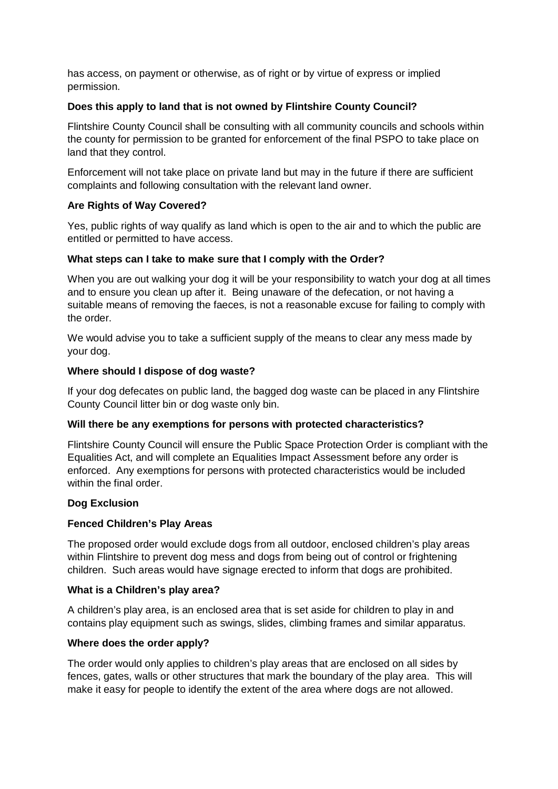has access, on payment or otherwise, as of right or by virtue of express or implied permission.

### **Does this apply to land that is not owned by Flintshire County Council?**

Flintshire County Council shall be consulting with all community councils and schools within the county for permission to be granted for enforcement of the final PSPO to take place on land that they control.

Enforcement will not take place on private land but may in the future if there are sufficient complaints and following consultation with the relevant land owner.

# **Are Rights of Way Covered?**

Yes, public rights of way qualify as land which is open to the air and to which the public are entitled or permitted to have access.

### **What steps can I take to make sure that I comply with the Order?**

When you are out walking your dog it will be your responsibility to watch your dog at all times and to ensure you clean up after it. Being unaware of the defecation, or not having a suitable means of removing the faeces, is not a reasonable excuse for failing to comply with the order.

We would advise you to take a sufficient supply of the means to clear any mess made by your dog.

### **Where should I dispose of dog waste?**

If your dog defecates on public land, the bagged dog waste can be placed in any Flintshire County Council litter bin or dog waste only bin.

### **Will there be any exemptions for persons with protected characteristics?**

Flintshire County Council will ensure the Public Space Protection Order is compliant with the Equalities Act, and will complete an Equalities Impact Assessment before any order is enforced. Any exemptions for persons with protected characteristics would be included within the final order.

### **Dog Exclusion**

### **Fenced Children's Play Areas**

The proposed order would exclude dogs from all outdoor, enclosed children's play areas within Flintshire to prevent dog mess and dogs from being out of control or frightening children. Such areas would have signage erected to inform that dogs are prohibited.

### **What is a Children's play area?**

A children's play area, is an enclosed area that is set aside for children to play in and contains play equipment such as swings, slides, climbing frames and similar apparatus.

### **Where does the order apply?**

The order would only applies to children's play areas that are enclosed on all sides by fences, gates, walls or other structures that mark the boundary of the play area. This will make it easy for people to identify the extent of the area where dogs are not allowed.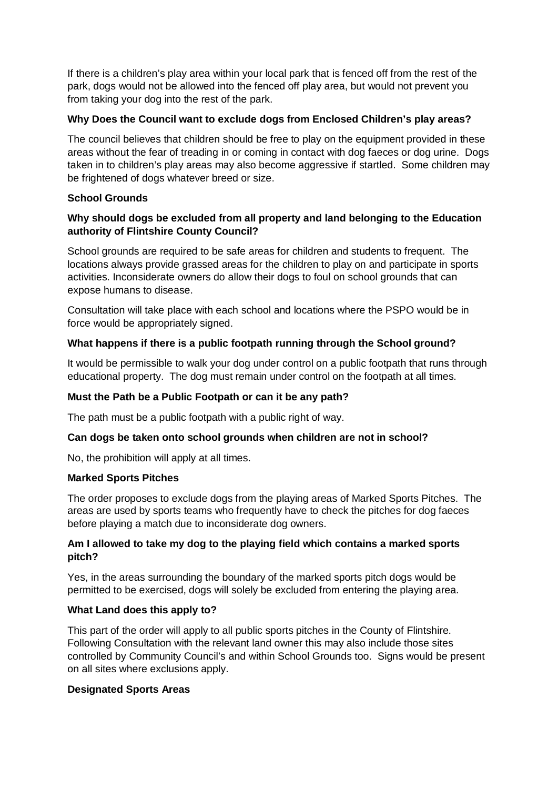If there is a children's play area within your local park that is fenced off from the rest of the park, dogs would not be allowed into the fenced off play area, but would not prevent you from taking your dog into the rest of the park.

## **Why Does the Council want to exclude dogs from Enclosed Children's play areas?**

The council believes that children should be free to play on the equipment provided in these areas without the fear of treading in or coming in contact with dog faeces or dog urine. Dogs taken in to children's play areas may also become aggressive if startled. Some children may be frightened of dogs whatever breed or size.

## **School Grounds**

## **Why should dogs be excluded from all property and land belonging to the Education authority of Flintshire County Council?**

School grounds are required to be safe areas for children and students to frequent. The locations always provide grassed areas for the children to play on and participate in sports activities. Inconsiderate owners do allow their dogs to foul on school grounds that can expose humans to disease.

Consultation will take place with each school and locations where the PSPO would be in force would be appropriately signed.

# **What happens if there is a public footpath running through the School ground?**

It would be permissible to walk your dog under control on a public footpath that runs through educational property. The dog must remain under control on the footpath at all times.

## **Must the Path be a Public Footpath or can it be any path?**

The path must be a public footpath with a public right of way.

### **Can dogs be taken onto school grounds when children are not in school?**

No, the prohibition will apply at all times.

### **Marked Sports Pitches**

The order proposes to exclude dogs from the playing areas of Marked Sports Pitches. The areas are used by sports teams who frequently have to check the pitches for dog faeces before playing a match due to inconsiderate dog owners.

## **Am I allowed to take my dog to the playing field which contains a marked sports pitch?**

Yes, in the areas surrounding the boundary of the marked sports pitch dogs would be permitted to be exercised, dogs will solely be excluded from entering the playing area.

### **What Land does this apply to?**

This part of the order will apply to all public sports pitches in the County of Flintshire. Following Consultation with the relevant land owner this may also include those sites controlled by Community Council's and within School Grounds too. Signs would be present on all sites where exclusions apply.

### **Designated Sports Areas**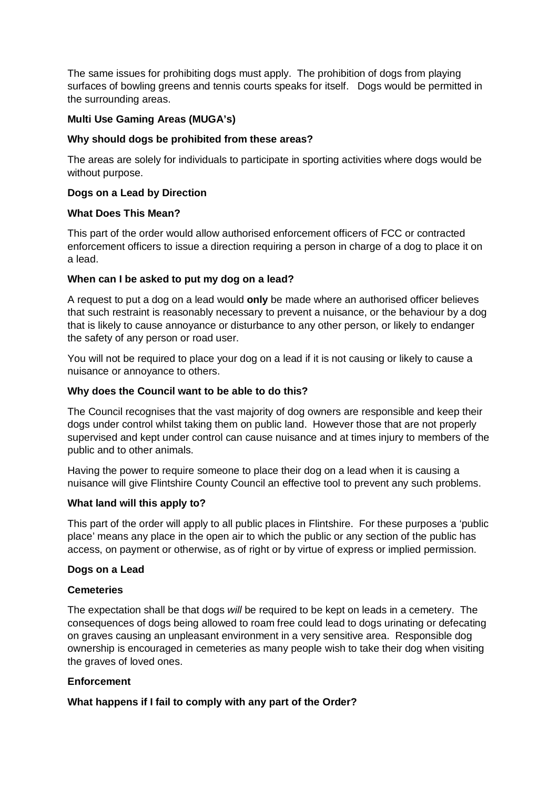The same issues for prohibiting dogs must apply. The prohibition of dogs from playing surfaces of bowling greens and tennis courts speaks for itself. Dogs would be permitted in the surrounding areas.

# **Multi Use Gaming Areas (MUGA's)**

### **Why should dogs be prohibited from these areas?**

The areas are solely for individuals to participate in sporting activities where dogs would be without purpose.

## **Dogs on a Lead by Direction**

### **What Does This Mean?**

This part of the order would allow authorised enforcement officers of FCC or contracted enforcement officers to issue a direction requiring a person in charge of a dog to place it on a lead.

## **When can I be asked to put my dog on a lead?**

A request to put a dog on a lead would **only** be made where an authorised officer believes that such restraint is reasonably necessary to prevent a nuisance, or the behaviour by a dog that is likely to cause annoyance or disturbance to any other person, or likely to endanger the safety of any person or road user.

You will not be required to place your dog on a lead if it is not causing or likely to cause a nuisance or annoyance to others.

### **Why does the Council want to be able to do this?**

The Council recognises that the vast majority of dog owners are responsible and keep their dogs under control whilst taking them on public land. However those that are not properly supervised and kept under control can cause nuisance and at times injury to members of the public and to other animals.

Having the power to require someone to place their dog on a lead when it is causing a nuisance will give Flintshire County Council an effective tool to prevent any such problems.

### **What land will this apply to?**

This part of the order will apply to all public places in Flintshire. For these purposes a 'public place' means any place in the open air to which the public or any section of the public has access, on payment or otherwise, as of right or by virtue of express or implied permission.

### **Dogs on a Lead**

### **Cemeteries**

The expectation shall be that dogs *will* be required to be kept on leads in a cemetery. The consequences of dogs being allowed to roam free could lead to dogs urinating or defecating on graves causing an unpleasant environment in a very sensitive area. Responsible dog ownership is encouraged in cemeteries as many people wish to take their dog when visiting the graves of loved ones.

# **Enforcement**

### **What happens if I fail to comply with any part of the Order?**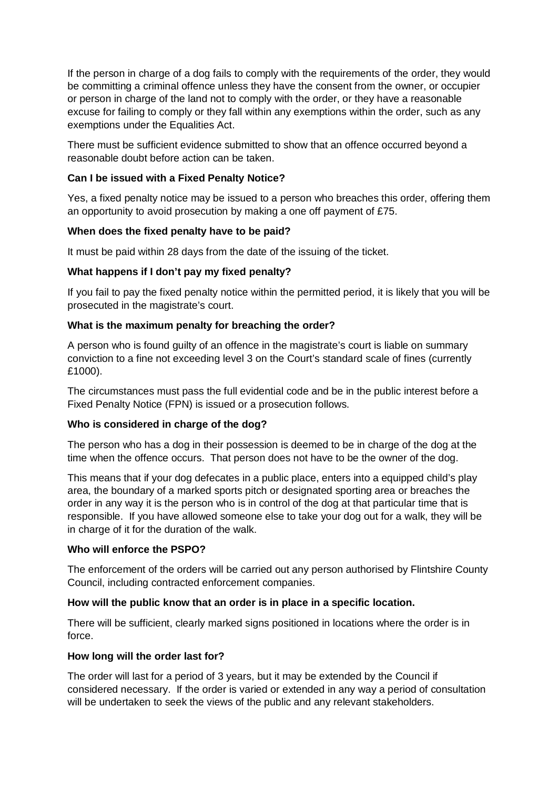If the person in charge of a dog fails to comply with the requirements of the order, they would be committing a criminal offence unless they have the consent from the owner, or occupier or person in charge of the land not to comply with the order, or they have a reasonable excuse for failing to comply or they fall within any exemptions within the order, such as any exemptions under the Equalities Act.

There must be sufficient evidence submitted to show that an offence occurred beyond a reasonable doubt before action can be taken.

### **Can I be issued with a Fixed Penalty Notice?**

Yes, a fixed penalty notice may be issued to a person who breaches this order, offering them an opportunity to avoid prosecution by making a one off payment of £75.

### **When does the fixed penalty have to be paid?**

It must be paid within 28 days from the date of the issuing of the ticket.

## **What happens if I don't pay my fixed penalty?**

If you fail to pay the fixed penalty notice within the permitted period, it is likely that you will be prosecuted in the magistrate's court.

## **What is the maximum penalty for breaching the order?**

A person who is found guilty of an offence in the magistrate's court is liable on summary conviction to a fine not exceeding level 3 on the Court's standard scale of fines (currently £1000).

The circumstances must pass the full evidential code and be in the public interest before a Fixed Penalty Notice (FPN) is issued or a prosecution follows.

### **Who is considered in charge of the dog?**

The person who has a dog in their possession is deemed to be in charge of the dog at the time when the offence occurs. That person does not have to be the owner of the dog.

This means that if your dog defecates in a public place, enters into a equipped child's play area, the boundary of a marked sports pitch or designated sporting area or breaches the order in any way it is the person who is in control of the dog at that particular time that is responsible. If you have allowed someone else to take your dog out for a walk, they will be in charge of it for the duration of the walk.

### **Who will enforce the PSPO?**

The enforcement of the orders will be carried out any person authorised by Flintshire County Council, including contracted enforcement companies.

### **How will the public know that an order is in place in a specific location.**

There will be sufficient, clearly marked signs positioned in locations where the order is in force.

### **How long will the order last for?**

The order will last for a period of 3 years, but it may be extended by the Council if considered necessary. If the order is varied or extended in any way a period of consultation will be undertaken to seek the views of the public and any relevant stakeholders.